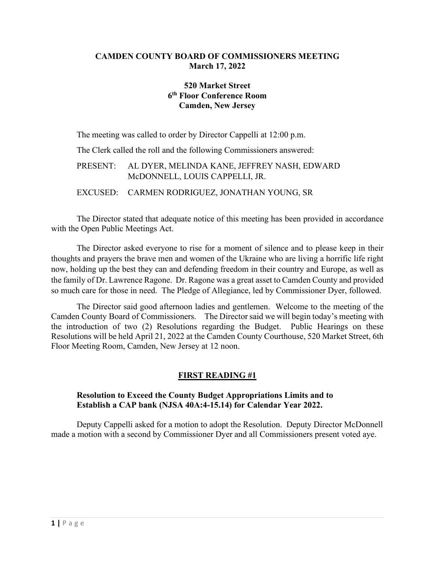### **CAMDEN COUNTY BOARD OF COMMISSIONERS MEETING March 17, 2022**

## **520 Market Street 6th Floor Conference Room Camden, New Jersey**

The meeting was called to order by Director Cappelli at 12:00 p.m.

The Clerk called the roll and the following Commissioners answered:

## PRESENT: AL DYER, MELINDA KANE, JEFFREY NASH, EDWARD McDONNELL, LOUIS CAPPELLI, JR.

EXCUSED: CARMEN RODRIGUEZ, JONATHAN YOUNG, SR

The Director stated that adequate notice of this meeting has been provided in accordance with the Open Public Meetings Act.

The Director asked everyone to rise for a moment of silence and to please keep in their thoughts and prayers the brave men and women of the Ukraine who are living a horrific life right now, holding up the best they can and defending freedom in their country and Europe, as well as the family of Dr. Lawrence Ragone. Dr. Ragone was a great asset to Camden County and provided so much care for those in need. The Pledge of Allegiance, led by Commissioner Dyer, followed.

The Director said good afternoon ladies and gentlemen. Welcome to the meeting of the Camden County Board of Commissioners. The Director said we will begin today's meeting with the introduction of two (2) Resolutions regarding the Budget. Public Hearings on these Resolutions will be held April 21, 2022 at the Camden County Courthouse, 520 Market Street, 6th Floor Meeting Room, Camden, New Jersey at 12 noon.

# **FIRST READING #1**

### **Resolution to Exceed the County Budget Appropriations Limits and to Establish a CAP bank (NJSA 40A:4-15.14) for Calendar Year 2022.**

 Deputy Cappelli asked for a motion to adopt the Resolution. Deputy Director McDonnell made a motion with a second by Commissioner Dyer and all Commissioners present voted aye.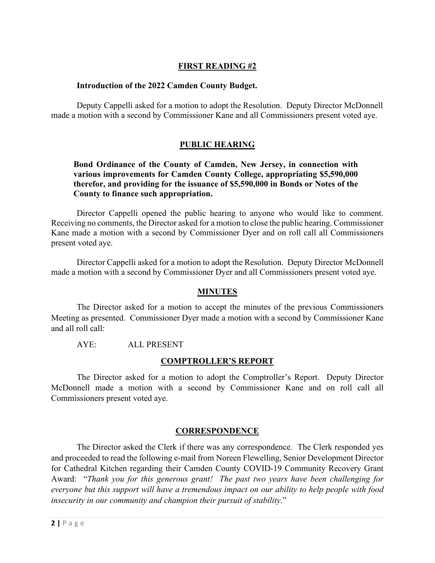## **FIRST READING #2**

#### **Introduction of the 2022 Camden County Budget.**

 Deputy Cappelli asked for a motion to adopt the Resolution. Deputy Director McDonnell made a motion with a second by Commissioner Kane and all Commissioners present voted aye.

### **PUBLIC HEARING**

#### **Bond Ordinance of the County of Camden, New Jersey, in connection with various improvements for Camden County College, appropriating \$5,590,000 therefor, and providing for the issuance of \$5,590,000 in Bonds or Notes of the County to finance such appropriation.**

Director Cappelli opened the public hearing to anyone who would like to comment. Receiving no comments, the Director asked for a motion to close the public hearing. Commissioner Kane made a motion with a second by Commissioner Dyer and on roll call all Commissioners present voted aye.

Director Cappelli asked for a motion to adopt the Resolution. Deputy Director McDonnell made a motion with a second by Commissioner Dyer and all Commissioners present voted aye.

#### **MINUTES**

The Director asked for a motion to accept the minutes of the previous Commissioners Meeting as presented. Commissioner Dyer made a motion with a second by Commissioner Kane and all roll call:

AYE: ALL PRESENT

#### **COMPTROLLER'S REPORT**

The Director asked for a motion to adopt the Comptroller's Report. Deputy Director McDonnell made a motion with a second by Commissioner Kane and on roll call all Commissioners present voted aye.

#### **CORRESPONDENCE**

The Director asked the Clerk if there was any correspondence. The Clerk responded yes and proceeded to read the following e-mail from Noreen Flewelling, Senior Development Director for Cathedral Kitchen regarding their Camden County COVID-19 Community Recovery Grant Award: "*Thank you for this generous grant! The past two years have been challenging for everyone but this support will have a tremendous impact on our ability to help people with food insecurity in our community and champion their pursuit of stability*."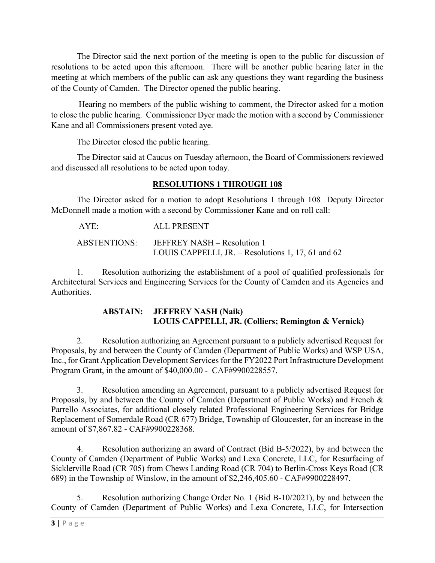The Director said the next portion of the meeting is open to the public for discussion of resolutions to be acted upon this afternoon. There will be another public hearing later in the meeting at which members of the public can ask any questions they want regarding the business of the County of Camden. The Director opened the public hearing.

 Hearing no members of the public wishing to comment, the Director asked for a motion to close the public hearing. Commissioner Dyer made the motion with a second by Commissioner Kane and all Commissioners present voted aye.

The Director closed the public hearing.

The Director said at Caucus on Tuesday afternoon, the Board of Commissioners reviewed and discussed all resolutions to be acted upon today.

# **RESOLUTIONS 1 THROUGH 108**

The Director asked for a motion to adopt Resolutions 1 through 108 Deputy Director McDonnell made a motion with a second by Commissioner Kane and on roll call:

| AYE:         | ALL PRESENT                                        |
|--------------|----------------------------------------------------|
| ABSTENTIONS: | JEFFREY NASH – Resolution 1                        |
|              | LOUIS CAPPELLI, JR. – Resolutions 1, 17, 61 and 62 |

 1. Resolution authorizing the establishment of a pool of qualified professionals for Architectural Services and Engineering Services for the County of Camden and its Agencies and Authorities.

## **ABSTAIN: JEFFREY NASH (Naik) LOUIS CAPPELLI, JR. (Colliers; Remington & Vernick)**

 2. Resolution authorizing an Agreement pursuant to a publicly advertised Request for Proposals, by and between the County of Camden (Department of Public Works) and WSP USA, Inc., for Grant Application Development Services for the FY2022 Port Infrastructure Development Program Grant, in the amount of \$40,000.00 - CAF#9900228557.

 3. Resolution amending an Agreement, pursuant to a publicly advertised Request for Proposals, by and between the County of Camden (Department of Public Works) and French & Parrello Associates, for additional closely related Professional Engineering Services for Bridge Replacement of Somerdale Road (CR 677) Bridge, Township of Gloucester, for an increase in the amount of \$7,867.82 - CAF#9900228368.

 4. Resolution authorizing an award of Contract (Bid B-5/2022), by and between the County of Camden (Department of Public Works) and Lexa Concrete, LLC, for Resurfacing of Sicklerville Road (CR 705) from Chews Landing Road (CR 704) to Berlin-Cross Keys Road (CR 689) in the Township of Winslow, in the amount of \$2,246,405.60 - CAF#9900228497.

 5. Resolution authorizing Change Order No. 1 (Bid B-10/2021), by and between the County of Camden (Department of Public Works) and Lexa Concrete, LLC, for Intersection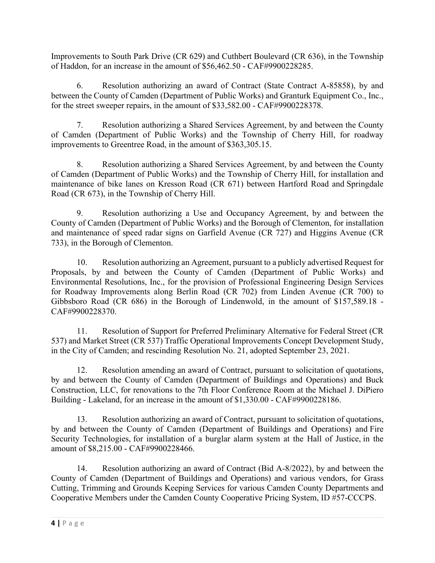Improvements to South Park Drive (CR 629) and Cuthbert Boulevard (CR 636), in the Township of Haddon, for an increase in the amount of \$56,462.50 - CAF#9900228285.

6. Resolution authorizing an award of Contract (State Contract A-85858), by and between the County of Camden (Department of Public Works) and Granturk Equipment Co., Inc., for the street sweeper repairs, in the amount of \$33,582.00 - CAF#9900228378.

7. Resolution authorizing a Shared Services Agreement, by and between the County of Camden (Department of Public Works) and the Township of Cherry Hill, for roadway improvements to Greentree Road, in the amount of \$363,305.15.

8. Resolution authorizing a Shared Services Agreement, by and between the County of Camden (Department of Public Works) and the Township of Cherry Hill, for installation and maintenance of bike lanes on Kresson Road (CR 671) between Hartford Road and Springdale Road (CR 673), in the Township of Cherry Hill.

9. Resolution authorizing a Use and Occupancy Agreement, by and between the County of Camden (Department of Public Works) and the Borough of Clementon, for installation and maintenance of speed radar signs on Garfield Avenue (CR 727) and Higgins Avenue (CR 733), in the Borough of Clementon.

10. Resolution authorizing an Agreement, pursuant to a publicly advertised Request for Proposals, by and between the County of Camden (Department of Public Works) and Environmental Resolutions, Inc., for the provision of Professional Engineering Design Services for Roadway Improvements along Berlin Road (CR 702) from Linden Avenue (CR 700) to Gibbsboro Road (CR 686) in the Borough of Lindenwold, in the amount of \$157,589.18 - CAF#9900228370.

11. Resolution of Support for Preferred Preliminary Alternative for Federal Street (CR 537) and Market Street (CR 537) Traffic Operational Improvements Concept Development Study, in the City of Camden; and rescinding Resolution No. 21, adopted September 23, 2021.

12. Resolution amending an award of Contract, pursuant to solicitation of quotations, by and between the County of Camden (Department of Buildings and Operations) and Buck Construction, LLC, for renovations to the 7th Floor Conference Room at the Michael J. DiPiero Building - Lakeland, for an increase in the amount of \$1,330.00 - CAF#9900228186.

13. Resolution authorizing an award of Contract, pursuant to solicitation of quotations, by and between the County of Camden (Department of Buildings and Operations) and Fire Security Technologies, for installation of a burglar alarm system at the Hall of Justice, in the amount of \$8,215.00 - CAF#9900228466.

14. Resolution authorizing an award of Contract (Bid A-8/2022), by and between the County of Camden (Department of Buildings and Operations) and various vendors, for Grass Cutting, Trimming and Grounds Keeping Services for various Camden County Departments and Cooperative Members under the Camden County Cooperative Pricing System, ID #57-CCCPS.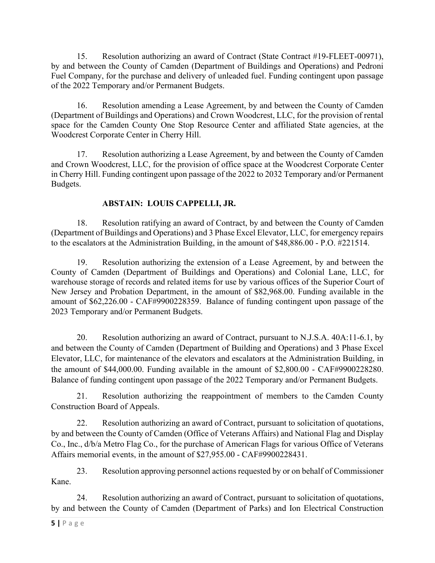15. Resolution authorizing an award of Contract (State Contract #19-FLEET-00971), by and between the County of Camden (Department of Buildings and Operations) and Pedroni Fuel Company, for the purchase and delivery of unleaded fuel. Funding contingent upon passage of the 2022 Temporary and/or Permanent Budgets.

16. Resolution amending a Lease Agreement, by and between the County of Camden (Department of Buildings and Operations) and Crown Woodcrest, LLC, for the provision of rental space for the Camden County One Stop Resource Center and affiliated State agencies, at the Woodcrest Corporate Center in Cherry Hill.

17. Resolution authorizing a Lease Agreement, by and between the County of Camden and Crown Woodcrest, LLC, for the provision of office space at the Woodcrest Corporate Center in Cherry Hill. Funding contingent upon passage of the 2022 to 2032 Temporary and/or Permanent Budgets.

# **ABSTAIN: LOUIS CAPPELLI, JR.**

18. Resolution ratifying an award of Contract, by and between the County of Camden (Department of Buildings and Operations) and 3 Phase Excel Elevator, LLC, for emergency repairs to the escalators at the Administration Building, in the amount of \$48,886.00 - P.O. #221514.

19. Resolution authorizing the extension of a Lease Agreement, by and between the County of Camden (Department of Buildings and Operations) and Colonial Lane, LLC, for warehouse storage of records and related items for use by various offices of the Superior Court of New Jersey and Probation Department, in the amount of \$82,968.00. Funding available in the amount of \$62,226.00 - CAF#9900228359. Balance of funding contingent upon passage of the 2023 Temporary and/or Permanent Budgets.

20. Resolution authorizing an award of Contract, pursuant to N.J.S.A. 40A:11-6.1, by and between the County of Camden (Department of Building and Operations) and 3 Phase Excel Elevator, LLC, for maintenance of the elevators and escalators at the Administration Building, in the amount of \$44,000.00. Funding available in the amount of \$2,800.00 - CAF#9900228280. Balance of funding contingent upon passage of the 2022 Temporary and/or Permanent Budgets.

21. Resolution authorizing the reappointment of members to the Camden County Construction Board of Appeals.

22. Resolution authorizing an award of Contract, pursuant to solicitation of quotations, by and between the County of Camden (Office of Veterans Affairs) and National Flag and Display Co., Inc., d/b/a Metro Flag Co., for the purchase of American Flags for various Office of Veterans Affairs memorial events, in the amount of \$27,955.00 - CAF#9900228431.

23. Resolution approving personnel actions requested by or on behalf of Commissioner Kane.

24. Resolution authorizing an award of Contract, pursuant to solicitation of quotations, by and between the County of Camden (Department of Parks) and Ion Electrical Construction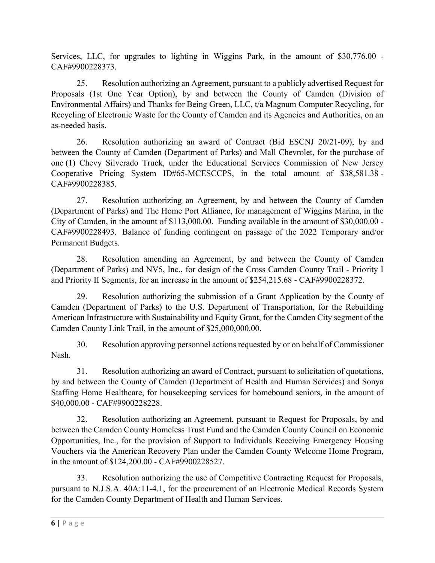Services, LLC, for upgrades to lighting in Wiggins Park, in the amount of \$30,776.00 - CAF#9900228373.

25. Resolution authorizing an Agreement, pursuant to a publicly advertised Request for Proposals (1st One Year Option), by and between the County of Camden (Division of Environmental Affairs) and Thanks for Being Green, LLC, t/a Magnum Computer Recycling, for Recycling of Electronic Waste for the County of Camden and its Agencies and Authorities, on an as-needed basis.

26. Resolution authorizing an award of Contract (Bid ESCNJ 20/21-09), by and between the County of Camden (Department of Parks) and Mall Chevrolet, for the purchase of one (1) Chevy Silverado Truck, under the Educational Services Commission of New Jersey Cooperative Pricing System ID#65-MCESCCPS, in the total amount of \$38,581.38 - CAF#9900228385.

27. Resolution authorizing an Agreement, by and between the County of Camden (Department of Parks) and The Home Port Alliance, for management of Wiggins Marina, in the City of Camden, in the amount of \$113,000.00. Funding available in the amount of \$30,000.00 - CAF#9900228493. Balance of funding contingent on passage of the 2022 Temporary and/or Permanent Budgets.

28. Resolution amending an Agreement, by and between the County of Camden (Department of Parks) and NV5, Inc., for design of the Cross Camden County Trail - Priority I and Priority II Segments, for an increase in the amount of \$254,215.68 - CAF#9900228372.

29. Resolution authorizing the submission of a Grant Application by the County of Camden (Department of Parks) to the U.S. Department of Transportation, for the Rebuilding American Infrastructure with Sustainability and Equity Grant, for the Camden City segment of the Camden County Link Trail, in the amount of \$25,000,000.00.

30. Resolution approving personnel actions requested by or on behalf of Commissioner Nash.

31. Resolution authorizing an award of Contract, pursuant to solicitation of quotations, by and between the County of Camden (Department of Health and Human Services) and Sonya Staffing Home Healthcare, for housekeeping services for homebound seniors, in the amount of \$40,000.00 - CAF#9900228228.

32. Resolution authorizing an Agreement, pursuant to Request for Proposals, by and between the Camden County Homeless Trust Fund and the Camden County Council on Economic Opportunities, Inc., for the provision of Support to Individuals Receiving Emergency Housing Vouchers via the American Recovery Plan under the Camden County Welcome Home Program, in the amount of \$124,200.00 - CAF#9900228527.

33. Resolution authorizing the use of Competitive Contracting Request for Proposals, pursuant to N.J.S.A. 40A:11-4.1, for the procurement of an Electronic Medical Records System for the Camden County Department of Health and Human Services.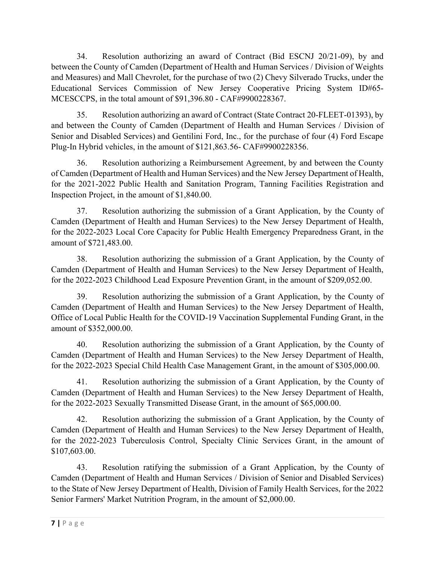34. Resolution authorizing an award of Contract (Bid ESCNJ 20/21-09), by and between the County of Camden (Department of Health and Human Services / Division of Weights and Measures) and Mall Chevrolet, for the purchase of two (2) Chevy Silverado Trucks, under the Educational Services Commission of New Jersey Cooperative Pricing System ID#65- MCESCCPS, in the total amount of \$91,396.80 - CAF#9900228367.

35. Resolution authorizing an award of Contract (State Contract 20-FLEET-01393), by and between the County of Camden (Department of Health and Human Services / Division of Senior and Disabled Services) and Gentilini Ford, Inc., for the purchase of four (4) Ford Escape Plug-In Hybrid vehicles, in the amount of \$121,863.56- CAF#9900228356.

36. Resolution authorizing a Reimbursement Agreement, by and between the County of Camden (Department of Health and Human Services) and the New Jersey Department of Health, for the 2021-2022 Public Health and Sanitation Program, Tanning Facilities Registration and Inspection Project, in the amount of \$1,840.00.

37. Resolution authorizing the submission of a Grant Application, by the County of Camden (Department of Health and Human Services) to the New Jersey Department of Health, for the 2022-2023 Local Core Capacity for Public Health Emergency Preparedness Grant, in the amount of \$721,483.00.

38. Resolution authorizing the submission of a Grant Application, by the County of Camden (Department of Health and Human Services) to the New Jersey Department of Health, for the 2022-2023 Childhood Lead Exposure Prevention Grant, in the amount of \$209,052.00.

39. Resolution authorizing the submission of a Grant Application, by the County of Camden (Department of Health and Human Services) to the New Jersey Department of Health, Office of Local Public Health for the COVID-19 Vaccination Supplemental Funding Grant, in the amount of \$352,000.00.

40. Resolution authorizing the submission of a Grant Application, by the County of Camden (Department of Health and Human Services) to the New Jersey Department of Health, for the 2022-2023 Special Child Health Case Management Grant, in the amount of \$305,000.00.

41. Resolution authorizing the submission of a Grant Application, by the County of Camden (Department of Health and Human Services) to the New Jersey Department of Health, for the 2022-2023 Sexually Transmitted Disease Grant, in the amount of \$65,000.00.

42. Resolution authorizing the submission of a Grant Application, by the County of Camden (Department of Health and Human Services) to the New Jersey Department of Health, for the 2022-2023 Tuberculosis Control, Specialty Clinic Services Grant, in the amount of \$107,603.00.

43. Resolution ratifying the submission of a Grant Application, by the County of Camden (Department of Health and Human Services / Division of Senior and Disabled Services) to the State of New Jersey Department of Health, Division of Family Health Services, for the 2022 Senior Farmers' Market Nutrition Program, in the amount of \$2,000.00.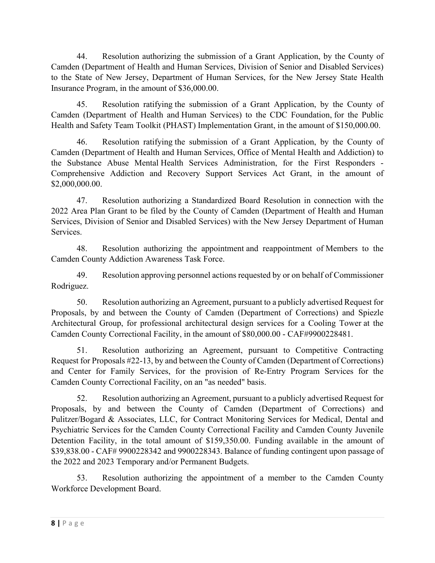44. Resolution authorizing the submission of a Grant Application, by the County of Camden (Department of Health and Human Services, Division of Senior and Disabled Services) to the State of New Jersey, Department of Human Services, for the New Jersey State Health Insurance Program, in the amount of \$36,000.00.

45. Resolution ratifying the submission of a Grant Application, by the County of Camden (Department of Health and Human Services) to the CDC Foundation, for the Public Health and Safety Team Toolkit (PHAST) Implementation Grant, in the amount of \$150,000.00.

46. Resolution ratifying the submission of a Grant Application, by the County of Camden (Department of Health and Human Services, Office of Mental Health and Addiction) to the Substance Abuse Mental Health Services Administration, for the First Responders - Comprehensive Addiction and Recovery Support Services Act Grant, in the amount of \$2,000,000.00.

47. Resolution authorizing a Standardized Board Resolution in connection with the 2022 Area Plan Grant to be filed by the County of Camden (Department of Health and Human Services, Division of Senior and Disabled Services) with the New Jersey Department of Human Services.

48. Resolution authorizing the appointment and reappointment of Members to the Camden County Addiction Awareness Task Force.

49. Resolution approving personnel actions requested by or on behalf of Commissioner Rodriguez.

50. Resolution authorizing an Agreement, pursuant to a publicly advertised Request for Proposals, by and between the County of Camden (Department of Corrections) and Spiezle Architectural Group, for professional architectural design services for a Cooling Tower at the Camden County Correctional Facility, in the amount of \$80,000.00 - CAF#9900228481.

51. Resolution authorizing an Agreement, pursuant to Competitive Contracting Request for Proposals #22-13, by and between the County of Camden (Department of Corrections) and Center for Family Services, for the provision of Re-Entry Program Services for the Camden County Correctional Facility, on an "as needed" basis.

52. Resolution authorizing an Agreement, pursuant to a publicly advertised Request for Proposals, by and between the County of Camden (Department of Corrections) and Pulitzer/Bogard & Associates, LLC, for Contract Monitoring Services for Medical, Dental and Psychiatric Services for the Camden County Correctional Facility and Camden County Juvenile Detention Facility, in the total amount of \$159,350.00. Funding available in the amount of \$39,838.00 - CAF# 9900228342 and 9900228343. Balance of funding contingent upon passage of the 2022 and 2023 Temporary and/or Permanent Budgets.

53. Resolution authorizing the appointment of a member to the Camden County Workforce Development Board.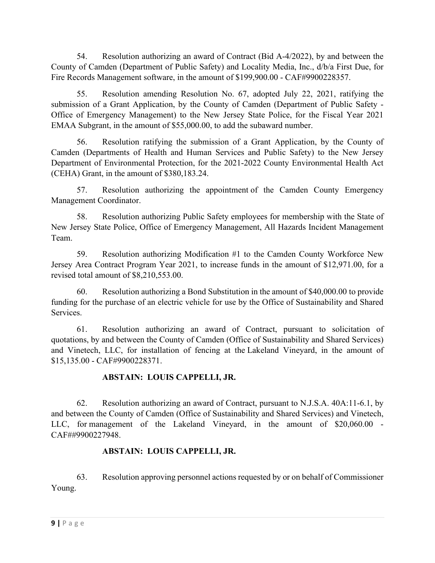54. Resolution authorizing an award of Contract (Bid A-4/2022), by and between the County of Camden (Department of Public Safety) and Locality Media, Inc., d/b/a First Due, for Fire Records Management software, in the amount of \$199,900.00 - CAF#9900228357.

55. Resolution amending Resolution No. 67, adopted July 22, 2021, ratifying the submission of a Grant Application, by the County of Camden (Department of Public Safety - Office of Emergency Management) to the New Jersey State Police, for the Fiscal Year 2021 EMAA Subgrant, in the amount of \$55,000.00, to add the subaward number.

56. Resolution ratifying the submission of a Grant Application, by the County of Camden (Departments of Health and Human Services and Public Safety) to the New Jersey Department of Environmental Protection, for the 2021-2022 County Environmental Health Act (CEHA) Grant, in the amount of \$380,183.24.

57. Resolution authorizing the appointment of the Camden County Emergency Management Coordinator.

58. Resolution authorizing Public Safety employees for membership with the State of New Jersey State Police, Office of Emergency Management, All Hazards Incident Management Team.

59. Resolution authorizing Modification #1 to the Camden County Workforce New Jersey Area Contract Program Year 2021, to increase funds in the amount of \$12,971.00, for a revised total amount of \$8,210,553.00.

60. Resolution authorizing a Bond Substitution in the amount of \$40,000.00 to provide funding for the purchase of an electric vehicle for use by the Office of Sustainability and Shared Services.

61. Resolution authorizing an award of Contract, pursuant to solicitation of quotations, by and between the County of Camden (Office of Sustainability and Shared Services) and Vinetech, LLC, for installation of fencing at the Lakeland Vineyard, in the amount of \$15,135.00 - CAF#9900228371.

# **ABSTAIN: LOUIS CAPPELLI, JR.**

62. Resolution authorizing an award of Contract, pursuant to N.J.S.A. 40A:11-6.1, by and between the County of Camden (Office of Sustainability and Shared Services) and Vinetech, LLC, for management of the Lakeland Vineyard, in the amount of \$20,060.00 - CAF##9900227948.

# **ABSTAIN: LOUIS CAPPELLI, JR.**

63. Resolution approving personnel actions requested by or on behalf of Commissioner Young.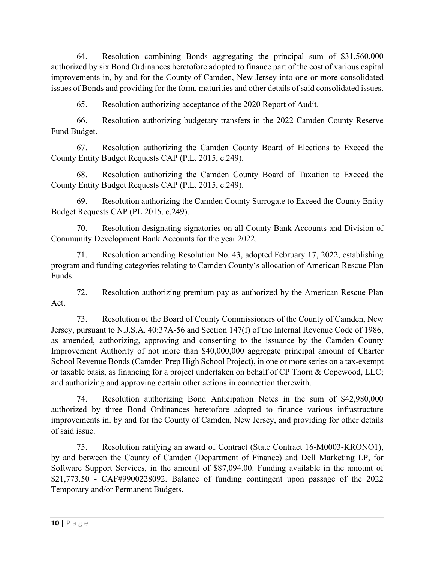64. Resolution combining Bonds aggregating the principal sum of \$31,560,000 authorized by six Bond Ordinances heretofore adopted to finance part of the cost of various capital improvements in, by and for the County of Camden, New Jersey into one or more consolidated issues of Bonds and providing for the form, maturities and other details of said consolidated issues.

65. Resolution authorizing acceptance of the 2020 Report of Audit.

66. Resolution authorizing budgetary transfers in the 2022 Camden County Reserve Fund Budget.

67. Resolution authorizing the Camden County Board of Elections to Exceed the County Entity Budget Requests CAP (P.L. 2015, c.249).

68. Resolution authorizing the Camden County Board of Taxation to Exceed the County Entity Budget Requests CAP (P.L. 2015, c.249).

69. Resolution authorizing the Camden County Surrogate to Exceed the County Entity Budget Requests CAP (PL 2015, c.249).

70. Resolution designating signatories on all County Bank Accounts and Division of Community Development Bank Accounts for the year 2022.

71. Resolution amending Resolution No. 43, adopted February 17, 2022, establishing program and funding categories relating to Camden County's allocation of American Rescue Plan Funds.

72. Resolution authorizing premium pay as authorized by the American Rescue Plan Act.

73. Resolution of the Board of County Commissioners of the County of Camden, New Jersey, pursuant to N.J.S.A. 40:37A-56 and Section 147(f) of the Internal Revenue Code of 1986, as amended, authorizing, approving and consenting to the issuance by the Camden County Improvement Authority of not more than \$40,000,000 aggregate principal amount of Charter School Revenue Bonds (Camden Prep High School Project), in one or more series on a tax-exempt or taxable basis, as financing for a project undertaken on behalf of CP Thorn & Copewood, LLC; and authorizing and approving certain other actions in connection therewith.

74. Resolution authorizing Bond Anticipation Notes in the sum of \$42,980,000 authorized by three Bond Ordinances heretofore adopted to finance various infrastructure improvements in, by and for the County of Camden, New Jersey, and providing for other details of said issue.

75. Resolution ratifying an award of Contract (State Contract 16-M0003-KRONO1), by and between the County of Camden (Department of Finance) and Dell Marketing LP, for Software Support Services, in the amount of \$87,094.00. Funding available in the amount of \$21,773.50 - CAF#9900228092. Balance of funding contingent upon passage of the 2022 Temporary and/or Permanent Budgets.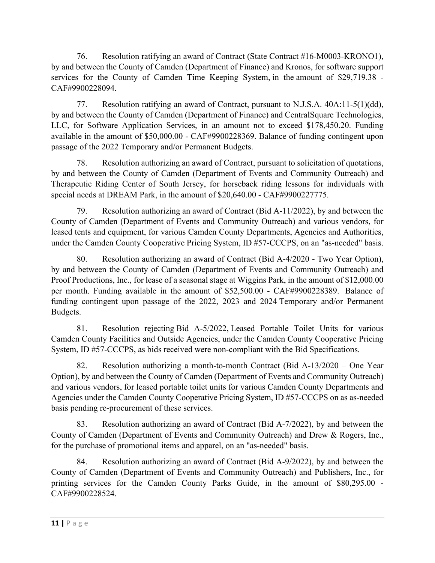76. Resolution ratifying an award of Contract (State Contract #16-M0003-KRONO1), by and between the County of Camden (Department of Finance) and Kronos, for software support services for the County of Camden Time Keeping System, in the amount of \$29,719.38 - CAF#9900228094.

77. Resolution ratifying an award of Contract, pursuant to N.J.S.A. 40A:11-5(1)(dd), by and between the County of Camden (Department of Finance) and CentralSquare Technologies, LLC, for Software Application Services, in an amount not to exceed \$178,450.20. Funding available in the amount of \$50,000.00 - CAF#9900228369. Balance of funding contingent upon passage of the 2022 Temporary and/or Permanent Budgets.

78. Resolution authorizing an award of Contract, pursuant to solicitation of quotations, by and between the County of Camden (Department of Events and Community Outreach) and Therapeutic Riding Center of South Jersey, for horseback riding lessons for individuals with special needs at DREAM Park, in the amount of \$20,640.00 - CAF#9900227775.

79. Resolution authorizing an award of Contract (Bid A-11/2022), by and between the County of Camden (Department of Events and Community Outreach) and various vendors, for leased tents and equipment, for various Camden County Departments, Agencies and Authorities, under the Camden County Cooperative Pricing System, ID #57-CCCPS, on an "as-needed" basis.

80. Resolution authorizing an award of Contract (Bid A-4/2020 - Two Year Option), by and between the County of Camden (Department of Events and Community Outreach) and Proof Productions, Inc., for lease of a seasonal stage at Wiggins Park, in the amount of \$12,000.00 per month. Funding available in the amount of \$52,500.00 - CAF#9900228389. Balance of funding contingent upon passage of the 2022, 2023 and 2024 Temporary and/or Permanent Budgets.

81. Resolution rejecting Bid A-5/2022, Leased Portable Toilet Units for various Camden County Facilities and Outside Agencies, under the Camden County Cooperative Pricing System, ID #57-CCCPS, as bids received were non-compliant with the Bid Specifications.

82. Resolution authorizing a month-to-month Contract (Bid A-13/2020 – One Year Option), by and between the County of Camden (Department of Events and Community Outreach) and various vendors, for leased portable toilet units for various Camden County Departments and Agencies under the Camden County Cooperative Pricing System, ID #57-CCCPS on as as-needed basis pending re-procurement of these services.

83. Resolution authorizing an award of Contract (Bid A-7/2022), by and between the County of Camden (Department of Events and Community Outreach) and Drew & Rogers, Inc., for the purchase of promotional items and apparel, on an "as-needed" basis.

84. Resolution authorizing an award of Contract (Bid A-9/2022), by and between the County of Camden (Department of Events and Community Outreach) and Publishers, Inc., for printing services for the Camden County Parks Guide, in the amount of \$80,295.00 - CAF#9900228524.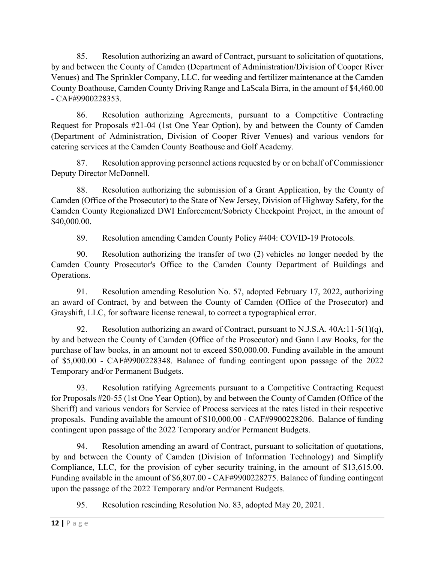85. Resolution authorizing an award of Contract, pursuant to solicitation of quotations, by and between the County of Camden (Department of Administration/Division of Cooper River Venues) and The Sprinkler Company, LLC, for weeding and fertilizer maintenance at the Camden County Boathouse, Camden County Driving Range and LaScala Birra, in the amount of \$4,460.00 - CAF#9900228353.

86. Resolution authorizing Agreements, pursuant to a Competitive Contracting Request for Proposals #21-04 (1st One Year Option), by and between the County of Camden (Department of Administration, Division of Cooper River Venues) and various vendors for catering services at the Camden County Boathouse and Golf Academy.

87. Resolution approving personnel actions requested by or on behalf of Commissioner Deputy Director McDonnell.

88. Resolution authorizing the submission of a Grant Application, by the County of Camden (Office of the Prosecutor) to the State of New Jersey, Division of Highway Safety, for the Camden County Regionalized DWI Enforcement/Sobriety Checkpoint Project, in the amount of \$40,000.00.

89. Resolution amending Camden County Policy #404: COVID-19 Protocols.

90. Resolution authorizing the transfer of two (2) vehicles no longer needed by the Camden County Prosecutor's Office to the Camden County Department of Buildings and Operations.

91. Resolution amending Resolution No. 57, adopted February 17, 2022, authorizing an award of Contract, by and between the County of Camden (Office of the Prosecutor) and Grayshift, LLC, for software license renewal, to correct a typographical error.

92. Resolution authorizing an award of Contract, pursuant to N.J.S.A.  $40A:11-5(1)(q)$ , by and between the County of Camden (Office of the Prosecutor) and Gann Law Books, for the purchase of law books, in an amount not to exceed \$50,000.00. Funding available in the amount of \$5,000.00 - CAF#9900228348. Balance of funding contingent upon passage of the 2022 Temporary and/or Permanent Budgets.

93. Resolution ratifying Agreements pursuant to a Competitive Contracting Request for Proposals #20-55 (1st One Year Option), by and between the County of Camden (Office of the Sheriff) and various vendors for Service of Process services at the rates listed in their respective proposals. Funding available the amount of \$10,000.00 - CAF#9900228206. Balance of funding contingent upon passage of the 2022 Temporary and/or Permanent Budgets.

94. Resolution amending an award of Contract, pursuant to solicitation of quotations, by and between the County of Camden (Division of Information Technology) and Simplify Compliance, LLC, for the provision of cyber security training, in the amount of \$13,615.00. Funding available in the amount of \$6,807.00 - CAF#9900228275. Balance of funding contingent upon the passage of the 2022 Temporary and/or Permanent Budgets.

95. Resolution rescinding Resolution No. 83, adopted May 20, 2021.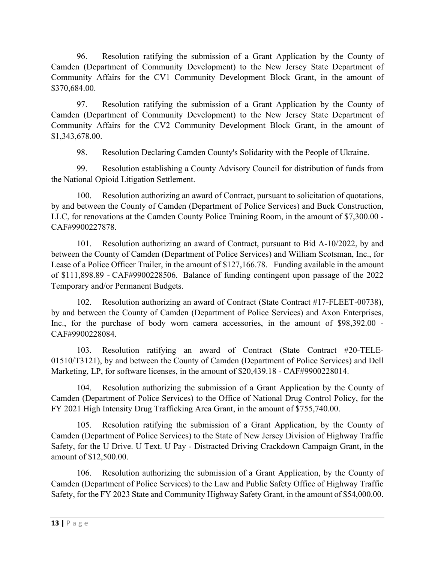96. Resolution ratifying the submission of a Grant Application by the County of Camden (Department of Community Development) to the New Jersey State Department of Community Affairs for the CV1 Community Development Block Grant, in the amount of \$370,684.00.

97. Resolution ratifying the submission of a Grant Application by the County of Camden (Department of Community Development) to the New Jersey State Department of Community Affairs for the CV2 Community Development Block Grant, in the amount of \$1,343,678.00.

98. Resolution Declaring Camden County's Solidarity with the People of Ukraine.

99. Resolution establishing a County Advisory Council for distribution of funds from the National Opioid Litigation Settlement.

100. Resolution authorizing an award of Contract, pursuant to solicitation of quotations, by and between the County of Camden (Department of Police Services) and Buck Construction, LLC, for renovations at the Camden County Police Training Room, in the amount of \$7,300.00 - CAF#9900227878.

101. Resolution authorizing an award of Contract, pursuant to Bid A-10/2022, by and between the County of Camden (Department of Police Services) and William Scotsman, Inc., for Lease of a Police Officer Trailer, in the amount of \$127,166.78. Funding available in the amount of \$111,898.89 - CAF#9900228506. Balance of funding contingent upon passage of the 2022 Temporary and/or Permanent Budgets.

102. Resolution authorizing an award of Contract (State Contract #17-FLEET-00738), by and between the County of Camden (Department of Police Services) and Axon Enterprises, Inc., for the purchase of body worn camera accessories, in the amount of \$98,392.00 - CAF#9900228084.

103. Resolution ratifying an award of Contract (State Contract #20-TELE-01510/T3121), by and between the County of Camden (Department of Police Services) and Dell Marketing, LP, for software licenses, in the amount of \$20,439.18 - CAF#9900228014.

104. Resolution authorizing the submission of a Grant Application by the County of Camden (Department of Police Services) to the Office of National Drug Control Policy, for the FY 2021 High Intensity Drug Trafficking Area Grant, in the amount of \$755,740.00.

105. Resolution ratifying the submission of a Grant Application, by the County of Camden (Department of Police Services) to the State of New Jersey Division of Highway Traffic Safety, for the U Drive. U Text. U Pay - Distracted Driving Crackdown Campaign Grant, in the amount of \$12,500.00.

106. Resolution authorizing the submission of a Grant Application, by the County of Camden (Department of Police Services) to the Law and Public Safety Office of Highway Traffic Safety, for the FY 2023 State and Community Highway Safety Grant, in the amount of \$54,000.00.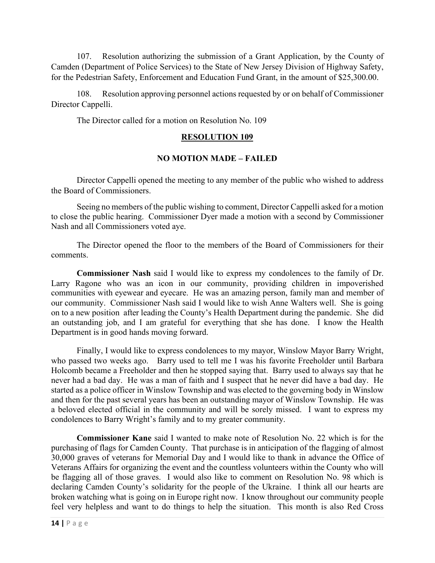107. Resolution authorizing the submission of a Grant Application, by the County of Camden (Department of Police Services) to the State of New Jersey Division of Highway Safety, for the Pedestrian Safety, Enforcement and Education Fund Grant, in the amount of \$25,300.00.

108. Resolution approving personnel actions requested by or on behalf of Commissioner Director Cappelli.

The Director called for a motion on Resolution No. 109

#### **RESOLUTION 109**

### **NO MOTION MADE – FAILED**

Director Cappelli opened the meeting to any member of the public who wished to address the Board of Commissioners.

Seeing no members of the public wishing to comment, Director Cappelli asked for a motion to close the public hearing. Commissioner Dyer made a motion with a second by Commissioner Nash and all Commissioners voted aye.

The Director opened the floor to the members of the Board of Commissioners for their comments.

**Commissioner Nash** said I would like to express my condolences to the family of Dr. Larry Ragone who was an icon in our community, providing children in impoverished communities with eyewear and eyecare. He was an amazing person, family man and member of our community. Commissioner Nash said I would like to wish Anne Walters well. She is going on to a new position after leading the County's Health Department during the pandemic. She did an outstanding job, and I am grateful for everything that she has done. I know the Health Department is in good hands moving forward.

Finally, I would like to express condolences to my mayor, Winslow Mayor Barry Wright, who passed two weeks ago. Barry used to tell me I was his favorite Freeholder until Barbara Holcomb became a Freeholder and then he stopped saying that. Barry used to always say that he never had a bad day. He was a man of faith and I suspect that he never did have a bad day. He started as a police officer in Winslow Township and was elected to the governing body in Winslow and then for the past several years has been an outstanding mayor of Winslow Township. He was a beloved elected official in the community and will be sorely missed. I want to express my condolences to Barry Wright's family and to my greater community.

**Commissioner Kane** said I wanted to make note of Resolution No. 22 which is for the purchasing of flags for Camden County. That purchase is in anticipation of the flagging of almost 30,000 graves of veterans for Memorial Day and I would like to thank in advance the Office of Veterans Affairs for organizing the event and the countless volunteers within the County who will be flagging all of those graves. I would also like to comment on Resolution No. 98 which is declaring Camden County's solidarity for the people of the Ukraine. I think all our hearts are broken watching what is going on in Europe right now. I know throughout our community people feel very helpless and want to do things to help the situation. This month is also Red Cross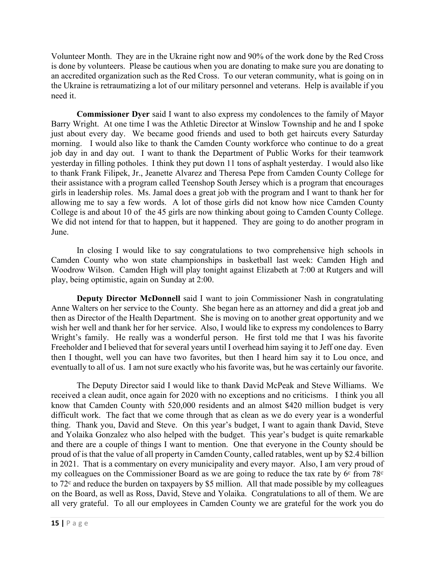Volunteer Month. They are in the Ukraine right now and 90% of the work done by the Red Cross is done by volunteers. Please be cautious when you are donating to make sure you are donating to an accredited organization such as the Red Cross. To our veteran community, what is going on in the Ukraine is retraumatizing a lot of our military personnel and veterans. Help is available if you need it.

**Commissioner Dyer** said I want to also express my condolences to the family of Mayor Barry Wright. At one time I was the Athletic Director at Winslow Township and he and I spoke just about every day. We became good friends and used to both get haircuts every Saturday morning. I would also like to thank the Camden County workforce who continue to do a great job day in and day out. I want to thank the Department of Public Works for their teamwork yesterday in filling potholes. I think they put down 11 tons of asphalt yesterday. I would also like to thank Frank Filipek, Jr., Jeanette Alvarez and Theresa Pepe from Camden County College for their assistance with a program called Teenshop South Jersey which is a program that encourages girls in leadership roles. Ms. Jamal does a great job with the program and I want to thank her for allowing me to say a few words. A lot of those girls did not know how nice Camden County College is and about 10 of the 45 girls are now thinking about going to Camden County College. We did not intend for that to happen, but it happened. They are going to do another program in June.

In closing I would like to say congratulations to two comprehensive high schools in Camden County who won state championships in basketball last week: Camden High and Woodrow Wilson. Camden High will play tonight against Elizabeth at 7:00 at Rutgers and will play, being optimistic, again on Sunday at 2:00.

**Deputy Director McDonnell** said I want to join Commissioner Nash in congratulating Anne Walters on her service to the County. She began here as an attorney and did a great job and then as Director of the Health Department. She is moving on to another great opportunity and we wish her well and thank her for her service. Also, I would like to express my condolences to Barry Wright's family. He really was a wonderful person. He first told me that I was his favorite Freeholder and I believed that for several years until I overhead him saying it to Jeff one day. Even then I thought, well you can have two favorites, but then I heard him say it to Lou once, and eventually to all of us. I am not sure exactly who his favorite was, but he was certainly our favorite.

The Deputy Director said I would like to thank David McPeak and Steve Williams. We received a clean audit, once again for 2020 with no exceptions and no criticisms. I think you all know that Camden County with 520,000 residents and an almost \$420 million budget is very difficult work. The fact that we come through that as clean as we do every year is a wonderful thing. Thank you, David and Steve. On this year's budget, I want to again thank David, Steve and Yolaika Gonzalez who also helped with the budget. This year's budget is quite remarkable and there are a couple of things I want to mention. One that everyone in the County should be proud of is that the value of all property in Camden County, called ratables, went up by \$2.4 billion in 2021. That is a commentary on every municipality and every mayor. Also, I am very proud of my colleagues on the Commissioner Board as we are going to reduce the tax rate by  $6<sup>c</sup>$  from  $78<sup>c</sup>$ to  $72^{\circ}$  and reduce the burden on taxpayers by \$5 million. All that made possible by my colleagues on the Board, as well as Ross, David, Steve and Yolaika. Congratulations to all of them. We are all very grateful. To all our employees in Camden County we are grateful for the work you do